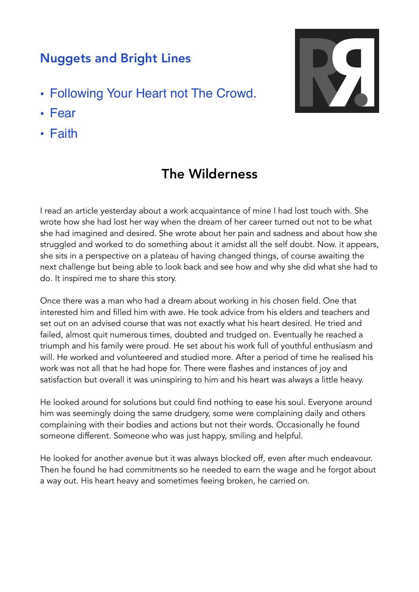## Nuggets and Bright Lines

- Following Your Heart not The Crowd.
- Fear
- Faith

## The Wilderness

I read an article yesterday about a work acquaintance of mine I had lost touch with. She wrote how she had lost her way when the dream of her career turned out not to be what she had imagined and desired. She wrote about her pain and sadness and about how she struggled and worked to do something about it amidst all the self doubt. Now. it appears, she sits in a perspective on a plateau of having changed things, of course awaiting the next challenge but being able to look back and see how and why she did what she had to do. It inspired me to share this story.

Once there was a man who had a dream about working in his chosen field. One that interested him and filled him with awe. He took advice from his elders and teachers and set out on an advised course that was not exactly what his heart desired. He tried and failed, almost quit numerous times, doubted and trudged on. Eventually he reached a triumph and his family were proud. He set about his work full of youthful enthusiasm and will. He worked and volunteered and studied more. After a period of time he realised his work was not all that he had hope for. There were flashes and instances of joy and satisfaction but overall it was uninspiring to him and his heart was always a little heavy.

He looked around for solutions but could find nothing to ease his soul. Everyone around him was seemingly doing the same drudgery, some were complaining daily and others complaining with their bodies and actions but not their words. Occasionally he found someone different. Someone who was just happy, smiling and helpful.

He looked for another avenue but it was always blocked off, even after much endeavour. Then he found he had commitments so he needed to earn the wage and he forgot about a way out. His heart heavy and sometimes feeing broken, he carried on.

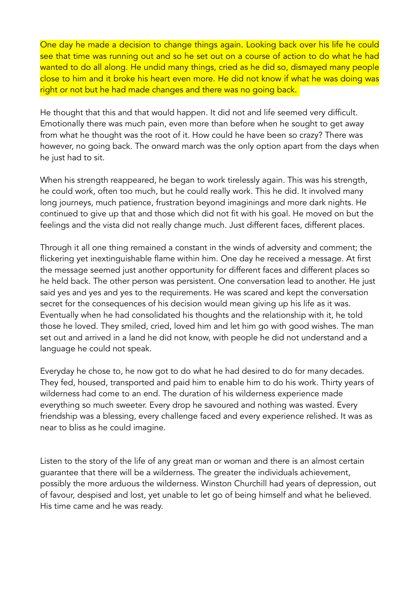One day he made a decision to change things again. Looking back over his life he could see that time was running out and so he set out on a course of action to do what he had wanted to do all along. He undid many things, cried as he did so, dismayed many people close to him and it broke his heart even more. He did not know if what he was doing was right or not but he had made changes and there was no going back.

He thought that this and that would happen. It did not and life seemed very difficult. Emotionally there was much pain, even more than before when he sought to get away from what he thought was the root of it. How could he have been so crazy? There was however, no going back. The onward march was the only option apart from the days when he just had to sit.

When his strength reappeared, he began to work tirelessly again. This was his strength, he could work, often too much, but he could really work. This he did. It involved many long journeys, much patience, frustration beyond imaginings and more dark nights. He continued to give up that and those which did not fit with his goal. He moved on but the feelings and the vista did not really change much. Just different faces, different places.

Through it all one thing remained a constant in the winds of adversity and comment; the flickering yet inextinguishable flame within him. One day he received a message. At first the message seemed just another opportunity for different faces and different places so he held back. The other person was persistent. One conversation lead to another. He just said yes and yes and yes to the requirements. He was scared and kept the conversation secret for the consequences of his decision would mean giving up his life as it was. Eventually when he had consolidated his thoughts and the relationship with it, he told those he loved. They smiled, cried, loved him and let him go with good wishes. The man set out and arrived in a land he did not know, with people he did not understand and a language he could not speak.

Everyday he chose to, he now got to do what he had desired to do for many decades. They fed, housed, transported and paid him to enable him to do his work. Thirty years of wilderness had come to an end. The duration of his wilderness experience made everything so much sweeter. Every drop he savoured and nothing was wasted. Every friendship was a blessing, every challenge faced and every experience relished. It was as near to bliss as he could imagine.

Listen to the story of the life of any great man or woman and there is an almost certain guarantee that there will be a wilderness. The greater the individuals achievement, possibly the more arduous the wilderness. Winston Churchill had years of depression, out of favour, despised and lost, yet unable to let go of being himself and what he believed. His time came and he was ready.